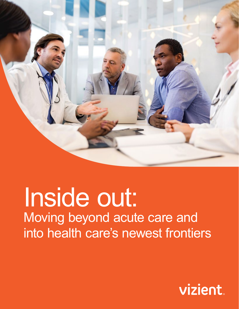

# Inside out: Moving beyond acute care and into health care's newest frontiers

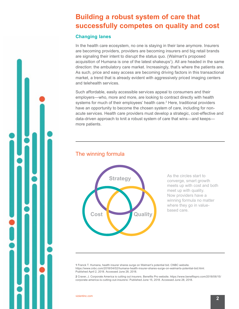# **Building a robust system of care that successfully competes on quality and cost**

### **Changing lanes**

In the health care ecosystem, no one is staying in their lane anymore. Insurers are becoming providers, providers are becoming insurers and big retail brands are signaling their intent to disrupt the status quo. (Walmart's proposed acquisition of Humana is one of the latest shakeups<sup>1</sup>). All are headed in the same direction: the ambulatory care market. Increasingly, that's where the patients are. As such, price and easy access are becoming driving factors in this transactional market, a trend that is already evident with aggressively priced imaging centers and telehealth services.

Such affordable, easily accessible services appeal to consumers and their employers—who, more and more, are looking to contract directly with health systems for much of their employees' health care.<sup>2</sup> Here, traditional providers have an opportunity to become the chosen system of care, including for nonacute services. Health care providers must develop a strategic, cost-effective and data-driven approach to knit a robust system of care that wins—and keeps more patients.

# The winning formula



As the circles start to converge, smart growth meets up with cost and both meet up with quality. Now providers have a winning formula no matter where they go in valuebased care.

**1** Franck T. Humana, health insurer shares surge on Walmart's potential bid. CNBC website. https://www.cnbc.com/2018/04/02/humana-health-insurer-shares-surge-on-walmarts-potential-bid.html. Published April 2, 2018. Accessed June 28, 2018.

**2** Craver, J. Corporate America is cutting out insurers. Benefits Pro website. https://www.benefitspro.com/2018/06/15/ corporate-america-is-cutting-out-insurers/. Published June 15, 2018. Accessed June 28, 2018.

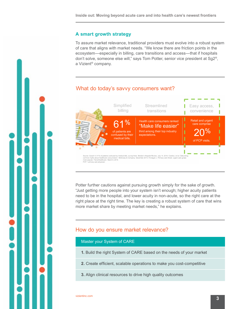#### **A smart growth strategy**

**to capture** 

To assure market relevance, traditional providers must evolve into a robust system of care that aligns with market needs. "We know there are friction points in the ecosystem—especially in billing, care transitions and access—that if hospitals don't solve, someone else will," says Tom Potter, senior vice president at Sg2®, a Vizient® company.

# What do today's savvy consumers want?



Potter further cautions against pursuing growth simply for the sake of growth. "Just getting more people into your system isn't enough; higher acuity patients need to be in the hospital, and lower acuity in non-acute, so the right care at the right place at the right time. The key is creating a robust system of care that wins more market share by meeting market needs," he explains.

## How do you ensure market relevance?

#### Master your System of CARE

- **1.** Build the right System of CARE based on the needs of your market
- **2.** Create efficient, scalable operations to make you cost-competitive
- **3.** Align clinical resources to drive high quality outcomes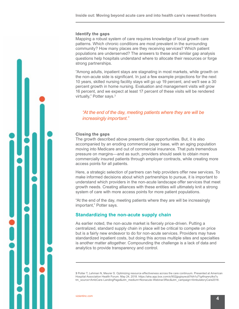#### **Identify the gaps**

Mapping a robust system of care requires knowledge of local growth care patterns. Which chronic conditions are most prevalent in the surrounding community? How many places are they receiving services? Which patient populations are underserved? The answers to these and similar gap analysis questions help hospitals understand where to allocate their resources or forge strong partnerships.

"Among adults, inpatient stays are stagnating in most markets, while growth on the non-acute side is significant. In just a few example projections for the next 10 years, skilled nursing facility stays will go up 19 percent, and we'll see a 30 percent growth in home nursing. Evaluation and management visits will grow 16 percent, and we expect at least 17 percent of these visits will be rendered virtually," Potter says.<sup>3</sup>

*"At the end of the day, meeting patients where they are will be increasingly important."* 

#### **Closing the gaps**

The growth described above presents clear opportunities. But, it is also accompanied by an eroding commercial payer base, with an aging population moving into Medicare and out of commercial insurance. That puts tremendous pressure on margins—and as such, providers should seek to obtain more commercially insured patients through employer contracts, while creating more access points for all patients.

Here, a strategic selection of partners can help providers offer new services. To make informed decisions about which partnerships to pursue, it is important to understand which providers in the non-acute landscape offer services that meet growth needs. Creating alliances with these entities will ultimately knit a strong system of care with more access points for more patient populations.

"At the end of the day, meeting patients where they are will be increasingly important," Potter says.

#### **Standardizing the non-acute supply chain**

As earlier noted, the non-acute market is fiercely price-driven. Putting a centralized, standard supply chain in place will be critical to compete on price but is a fairly new endeavor to do for non-acute services. Providers may have standardized inpatient costs, but doing this across multiple sites and specialties is another matter altogether. Compounding the challenge is a lack of data and analytics to provide transparency and control.

**3** Potter T, Lehman N, Meurer S. Optimizing resource effectiveness across the care continuum. Presented at American Hospital Association Health Forum. May 24, 2018. https://aha.app.box.com/s/902jjpgisywub7rbh1u71g4hqrerylks?u tm\_source=AmbCare-LandingPage&utm\_medium=Nonacute-Webinar3Rec&utm\_campaign=AmbulatoryCare2018.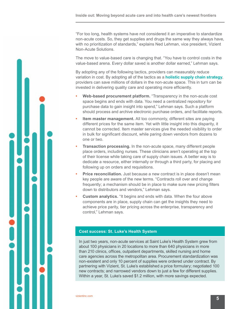"For too long, health systems have not considered it an imperative to standardize non-acute costs. So, they get supplies and drugs the same way they always have, with no prioritization of standards," explains Ned Lehman, vice president, Vizient Non-Acute Solutions.

The move to value-based care is changing that. "You have to control costs in the value-based arena. Every dollar saved is another dollar earned," Lehman says.

By adopting any of the following tactics, providers can measurably reduce variation in cost. By adopting all of the tactics as a **[holistic supply chain strategy](https://www.vizientinc.com/-/media/Documents/SitecorePublishingDocuments/Public/StLukes_Success_Story.pdf?utm_source=HealthLeaders-ebook&utm_medium=CSI-Blog&utm_campaign=AmbulatoryCareNov2018)**, providers can save millions of dollars in the non-acute space. This in turn can be invested in delivering quality care and operating more efficiently.

- **• Web-based procurement platform.** "Transparency in the non-acute cost space begins and ends with data. You need a centralized repository for purchase data to gain insight into spend," Lehman says. Such a platform should process and archive electronic purchase orders, and facilitate reports.
- **Item master management.** All too commonly, different sites are paying different prices for the same item. Yet with little insight into this disparity, it cannot be corrected. Item master services give the needed visibility to order in bulk for significant discount, while paring down vendors from dozens to one or two.
- **Transaction processing.** In the non-acute space, many different people place orders, including nurses. These clinicians aren't operating at the top of their license while taking care of supply chain issues. A better way is to dedicate a resource, either internally or through a third party, for placing and following up on orders and requisitions.
- **Price reconciliation.** Just because a new contract is in place doesn't mean key people are aware of the new terms. "Contracts roll over and change frequently; a mechanism should be in place to make sure new pricing filters down to distributors and vendors," Lehman says.
- **• Custom analytics.** "It begins and ends with data. When the four above components are in place, supply chain can get the insights they need to achieve price parity, tier pricing across the enterprise, transparency and control," Lehman says.

#### **[Cost success: St. Luke's Health System](https://www.vizientinc.com/-/media/Documents/SitecorePublishingDocuments/Public/StLukes_Success_Story.pdf?utm_source=HealthLeaders-ebook&utm_medium=CaseStudy-StLukes&utm_campaign=AmbulatoryCareNov2018)**

In just two years, non-acute services at Saint Luke's Health System grew from about 100 physicians in 20 locations to more than 640 physicians in more than 210 clinics, offices, outpatient departments, skilled nursing and home care agencies across the metropolitan area. Procurement standardization was non-existent and only 10 percent of supplies were ordered under contract. By partnering with Vizient, St. Luke's established a price formulary; negotiated 100 new contracts; and narrowed vendors down to just a few for different supplies. Within a year, St. Luke's saved \$1.2 million, with more savings expected.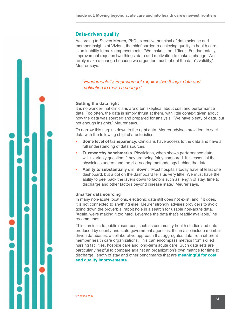#### **Data-driven quality**

According to Steven Meurer, PhD, executive principal of data science and member insights at Vizient, the chief barrier to achieving quality in health care is an inability to make improvements. "We make it too difficult. Fundamentally, improvement requires two things: data and motivation to make a change. We rarely make a change because we argue too much about the data's validity," Meurer says.

*"Fundamentally, improvement requires two things: data and motivation to make a change."* 

#### **Getting the data right**

It is no wonder that clinicians are often skeptical about cost and performance data. Too often, the data is simply thrust at them, with little context given about how the data was sourced and prepared for analysis. "We have plenty of data, but not enough insights," Meurer says.

To narrow this surplus down to the right data, Meurer advises providers to seek data with the following chief characteristics.

- **• Some level of transparency.** Clinicians have access to the data and have a full understanding of data sources.
- **• Trustworthy benchmarks.** Physicians, when shown performance data, will invariably question if they are being fairly compared. It is essential that physicians understand the risk-scoring methodology behind the data.
- **• Ability to substantially drill down.** "Most hospitals today have at least one dashboard, but a dot on the dashboard tells us very little. We must have the ability to peel back the layers down to factors such as length of stay, time to discharge and other factors beyond disease state," Meurer says.

#### **Smarter data sourcing**

In many non-acute locations, electronic data still does not exist, and if it does, it is not connected to anything else. Meurer strongly advises providers to avoid going down the proverbial rabbit hole in a search for usable non-acute data. "Again, we're making it too hard. Leverage the data that's readily available," he recommends.

This can include public resources, such as community health studies and data produced by county and state government agencies. It can also include memberdriven databases, a collaborative approach that aggregates data from different member health care organizations. This can encompass metrics from skilled nursing facilities, hospice care and long-term acute care. Such data sets are particularly helpful to compare against an organization's own metrics for time to discharge, length of stay and other benchmarks that are **[meaningful for cost](https://newsroom.vizientinc.com/newsletter/clinical-and-care-delivery-news/three-observations-role-analytics-improvement?utm_source=HealthLeaders-ebook&utm_medium=3Observations-newsletter&utm_campaign=AmbulatoryCareNov2018)  [and quality improvements](https://newsroom.vizientinc.com/newsletter/clinical-and-care-delivery-news/three-observations-role-analytics-improvement?utm_source=HealthLeaders-ebook&utm_medium=3Observations-newsletter&utm_campaign=AmbulatoryCareNov2018)**.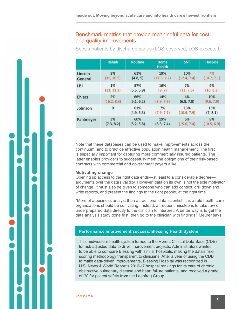## Benchmark metrics that provide meaningful data for cost and quality improvements

Sepsis patients by discharge status (LOS observed, LOS expected)

|               | <b>Rehab</b> | <b>Routine</b>    | Home<br><b>Health</b> | <b>SNF</b>         | Hospice         |
|---------------|--------------|-------------------|-----------------------|--------------------|-----------------|
| Lincoln       | 3%           | 61%               | 19%                   | 10%                | 4%              |
| General       | (15, 10.5)   | (4.8, 5)          | (11.3, 7.2)           | (12.4, 7.4)        | (10.7, 7.1)     |
| LBJ           | 1%           | 57%               | 16%                   | 7%                 | 9%              |
|               | (21, 11.3)   | (5.5, 5.9)        | (8, 7)                | (11, 7.6)          | (10, 8.3)       |
| <b>Ehlers</b> | 2%           | 66%               | 14%                   | 4%                 | 10%             |
|               | (16.2, 8.3)  | (5.1, 6.2)        | (8.9, 7.9)            | (6.8, 7.8)         | (9.6, 7.9)      |
| Johnson       | $\mathbf 0$  | 61%<br>(4.9, 5.3) | 7%<br>(7.9, 7.1)      | 13%<br>(10.9, 7.9) | 13%<br>(7, 8.1) |
| Pahlmeyer     | 3%           | 60%               | 19%                   | 6%                 | 8%              |
|               | (7.3, 8.2)   | (5.2, 5.8)        | (6.3, 7.4)            | (15.6, 7.4)        | (10.5, 6.9)     |

Note that these databases can be used to make improvements across the continuum, and to practice effective population health management. The first is especially important for capturing more commercially insured patients. The latter enables providers to successfully meet the obligations of their risk-based contracts with commercial and government payers alike.

#### **Motivating change**

Opening up access to the right data ends—at least to a considerable degree arguments over the data's validity. However, data on its own is not the sole motivator of change. It must also be given to someone who can add context, drill down and write reports, and present the findings to the right people, at the right time.

"More of a business analyst than a traditional data scientist, it is a role health care organizations should be cultivating. Instead, a frequent misstep is to take raw or underprepared data directly to the clinician to interpret. A better way is to get the data analysis study done first, then go to the clinician with findings," Meurer says.

#### **[Performance improvement success: Blessing Health System](https://www.vizientinc.com/Members/Case-studies/Regional-community-hospital-accelerates-its-performance-improvement-process-in-eight-weeks?utm_source=HealthLeaders-ebook&utm_medium=CaseStudy-Blessing&utm_campaign=AmbulatoryCareNov2018)**

This midwestern health system turned to the Vizient Clinical Data Base (CDB) for risk-adjusted data to drive improvement projects. Administrators wanted to be able to compare Blessing with similar hospitals, making the data's riskscoring methodology transparent to clinicians. After a year of using the CDB to make data-driven improvements, Blessing Hospital was recognized in U.S. News & World Report's 2016-17 hospital rankings for its care of chronic obstructive pulmonary disease and heart failure patients, and received a grade of "A" for patient safety from the Leapfrog Group.